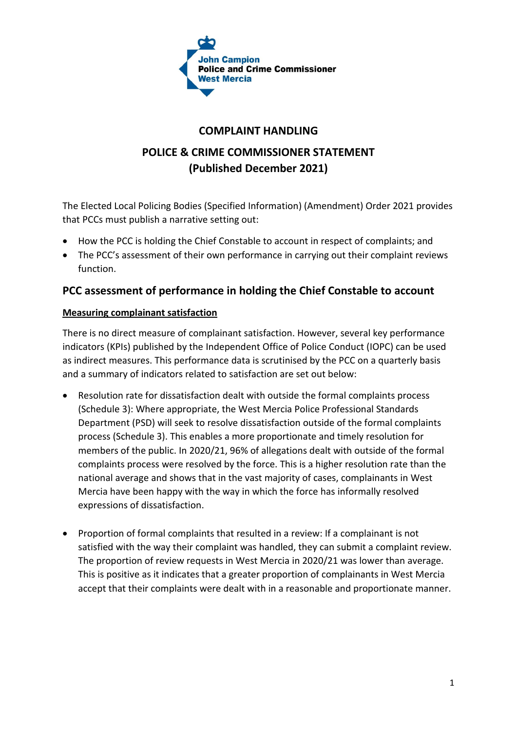

## **COMPLAINT HANDLING**

# **POLICE & CRIME COMMISSIONER STATEMENT (Published December 2021)**

The Elected Local Policing Bodies (Specified Information) (Amendment) Order 2021 provides that PCCs must publish a narrative setting out:

- How the PCC is holding the Chief Constable to account in respect of complaints; and
- The PCC's assessment of their own performance in carrying out their complaint reviews function.

## **PCC assessment of performance in holding the Chief Constable to account**

#### **Measuring complainant satisfaction**

There is no direct measure of complainant satisfaction. However, several key performance indicators (KPIs) published by the Independent Office of Police Conduct (IOPC) can be used as indirect measures. This performance data is scrutinised by the PCC on a quarterly basis and a summary of indicators related to satisfaction are set out below:

- Resolution rate for dissatisfaction dealt with outside the formal complaints process (Schedule 3): Where appropriate, the West Mercia Police Professional Standards Department (PSD) will seek to resolve dissatisfaction outside of the formal complaints process (Schedule 3). This enables a more proportionate and timely resolution for members of the public. In 2020/21, 96% of allegations dealt with outside of the formal complaints process were resolved by the force. This is a higher resolution rate than the national average and shows that in the vast majority of cases, complainants in West Mercia have been happy with the way in which the force has informally resolved expressions of dissatisfaction.
- Proportion of formal complaints that resulted in a review: If a complainant is not satisfied with the way their complaint was handled, they can submit a complaint review. The proportion of review requests in West Mercia in 2020/21 was lower than average. This is positive as it indicates that a greater proportion of complainants in West Mercia accept that their complaints were dealt with in a reasonable and proportionate manner.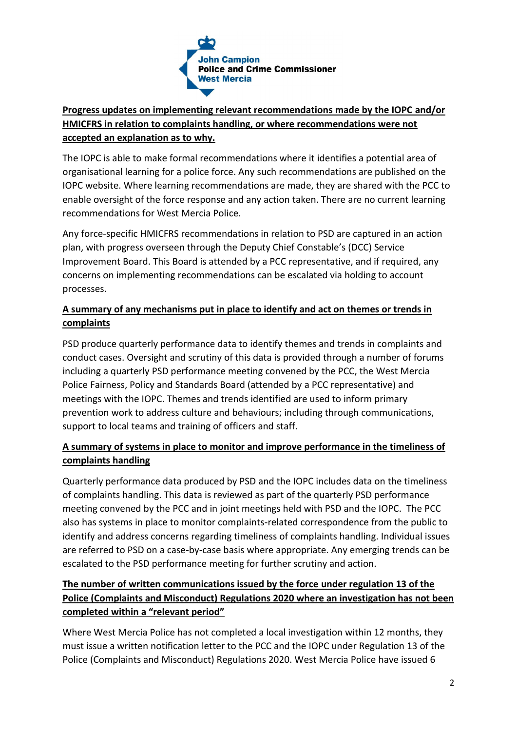

### **Progress updates on implementing relevant recommendations made by the IOPC and/or HMICFRS in relation to complaints handling, or where recommendations were not accepted an explanation as to why.**

The IOPC is able to make formal recommendations where it identifies a potential area of organisational learning for a police force. Any such recommendations are published on the IOPC website. Where learning recommendations are made, they are shared with the PCC to enable oversight of the force response and any action taken. There are no current learning recommendations for West Mercia Police.

Any force-specific HMICFRS recommendations in relation to PSD are captured in an action plan, with progress overseen through the Deputy Chief Constable's (DCC) Service Improvement Board. This Board is attended by a PCC representative, and if required, any concerns on implementing recommendations can be escalated via holding to account processes.

### **A summary of any mechanisms put in place to identify and act on themes or trends in complaints**

PSD produce quarterly performance data to identify themes and trends in complaints and conduct cases. Oversight and scrutiny of this data is provided through a number of forums including a quarterly PSD performance meeting convened by the PCC, the West Mercia Police Fairness, Policy and Standards Board (attended by a PCC representative) and meetings with the IOPC. Themes and trends identified are used to inform primary prevention work to address culture and behaviours; including through communications, support to local teams and training of officers and staff.

#### **A summary of systems in place to monitor and improve performance in the timeliness of complaints handling**

Quarterly performance data produced by PSD and the IOPC includes data on the timeliness of complaints handling. This data is reviewed as part of the quarterly PSD performance meeting convened by the PCC and in joint meetings held with PSD and the IOPC. The PCC also has systems in place to monitor complaints-related correspondence from the public to identify and address concerns regarding timeliness of complaints handling. Individual issues are referred to PSD on a case-by-case basis where appropriate. Any emerging trends can be escalated to the PSD performance meeting for further scrutiny and action.

## **The number of written communications issued by the force under regulation 13 of the Police (Complaints and Misconduct) Regulations 2020 where an investigation has not been completed within a "relevant period"**

Where West Mercia Police has not completed a local investigation within 12 months, they must issue a written notification letter to the PCC and the IOPC under Regulation 13 of the Police (Complaints and Misconduct) Regulations 2020. West Mercia Police have issued 6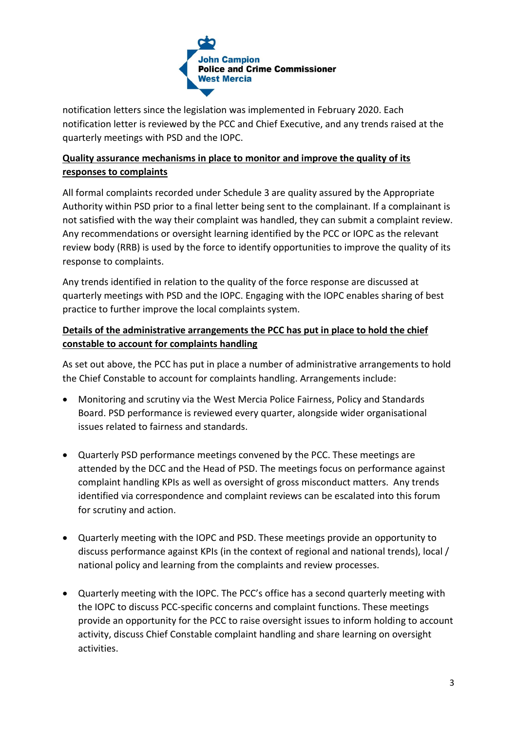

notification letters since the legislation was implemented in February 2020. Each notification letter is reviewed by the PCC and Chief Executive, and any trends raised at the quarterly meetings with PSD and the IOPC.

#### **Quality assurance mechanisms in place to monitor and improve the quality of its responses to complaints**

All formal complaints recorded under Schedule 3 are quality assured by the Appropriate Authority within PSD prior to a final letter being sent to the complainant. If a complainant is not satisfied with the way their complaint was handled, they can submit a complaint review. Any recommendations or oversight learning identified by the PCC or IOPC as the relevant review body (RRB) is used by the force to identify opportunities to improve the quality of its response to complaints.

Any trends identified in relation to the quality of the force response are discussed at quarterly meetings with PSD and the IOPC. Engaging with the IOPC enables sharing of best practice to further improve the local complaints system.

#### **Details of the administrative arrangements the PCC has put in place to hold the chief constable to account for complaints handling**

As set out above, the PCC has put in place a number of administrative arrangements to hold the Chief Constable to account for complaints handling. Arrangements include:

- Monitoring and scrutiny via the West Mercia Police Fairness, Policy and Standards Board. PSD performance is reviewed every quarter, alongside wider organisational issues related to fairness and standards.
- Quarterly PSD performance meetings convened by the PCC. These meetings are attended by the DCC and the Head of PSD. The meetings focus on performance against complaint handling KPIs as well as oversight of gross misconduct matters. Any trends identified via correspondence and complaint reviews can be escalated into this forum for scrutiny and action.
- Quarterly meeting with the IOPC and PSD. These meetings provide an opportunity to discuss performance against KPIs (in the context of regional and national trends), local / national policy and learning from the complaints and review processes.
- Quarterly meeting with the IOPC. The PCC's office has a second quarterly meeting with the IOPC to discuss PCC-specific concerns and complaint functions. These meetings provide an opportunity for the PCC to raise oversight issues to inform holding to account activity, discuss Chief Constable complaint handling and share learning on oversight activities.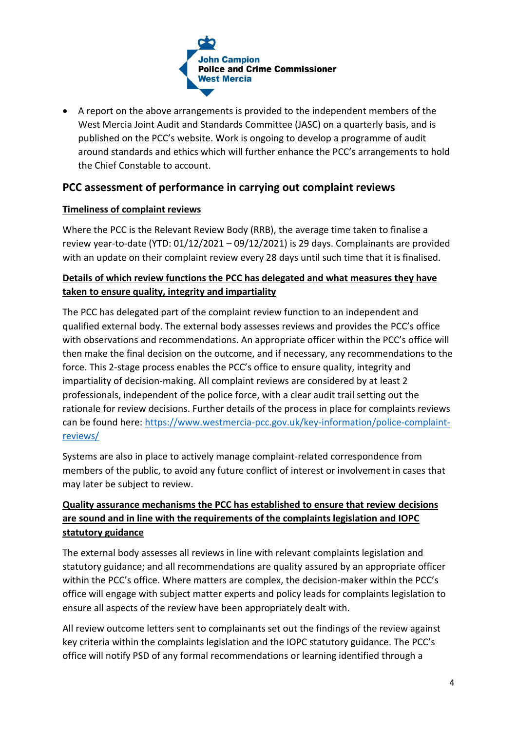

 A report on the above arrangements is provided to the independent members of the West Mercia Joint Audit and Standards Committee (JASC) on a quarterly basis, and is published on the PCC's website. Work is ongoing to develop a programme of audit around standards and ethics which will further enhance the PCC's arrangements to hold the Chief Constable to account.

### **PCC assessment of performance in carrying out complaint reviews**

#### **Timeliness of complaint reviews**

Where the PCC is the Relevant Review Body (RRB), the average time taken to finalise a review year-to-date (YTD: 01/12/2021 – 09/12/2021) is 29 days. Complainants are provided with an update on their complaint review every 28 days until such time that it is finalised.

#### **Details of which review functions the PCC has delegated and what measures they have taken to ensure quality, integrity and impartiality**

The PCC has delegated part of the complaint review function to an independent and qualified external body. The external body assesses reviews and provides the PCC's office with observations and recommendations. An appropriate officer within the PCC's office will then make the final decision on the outcome, and if necessary, any recommendations to the force. This 2-stage process enables the PCC's office to ensure quality, integrity and impartiality of decision-making. All complaint reviews are considered by at least 2 professionals, independent of the police force, with a clear audit trail setting out the rationale for review decisions. Further details of the process in place for complaints reviews can be found here: [https://www.westmercia-pcc.gov.uk/key-information/police-complaint](https://www.westmercia-pcc.gov.uk/key-information/police-complaint-reviews/)[reviews/](https://www.westmercia-pcc.gov.uk/key-information/police-complaint-reviews/)

Systems are also in place to actively manage complaint-related correspondence from members of the public, to avoid any future conflict of interest or involvement in cases that may later be subject to review.

### **Quality assurance mechanisms the PCC has established to ensure that review decisions are sound and in line with the requirements of the complaints legislation and IOPC statutory guidance**

The external body assesses all reviews in line with relevant complaints legislation and statutory guidance; and all recommendations are quality assured by an appropriate officer within the PCC's office. Where matters are complex, the decision-maker within the PCC's office will engage with subject matter experts and policy leads for complaints legislation to ensure all aspects of the review have been appropriately dealt with.

All review outcome letters sent to complainants set out the findings of the review against key criteria within the complaints legislation and the IOPC statutory guidance. The PCC's office will notify PSD of any formal recommendations or learning identified through a